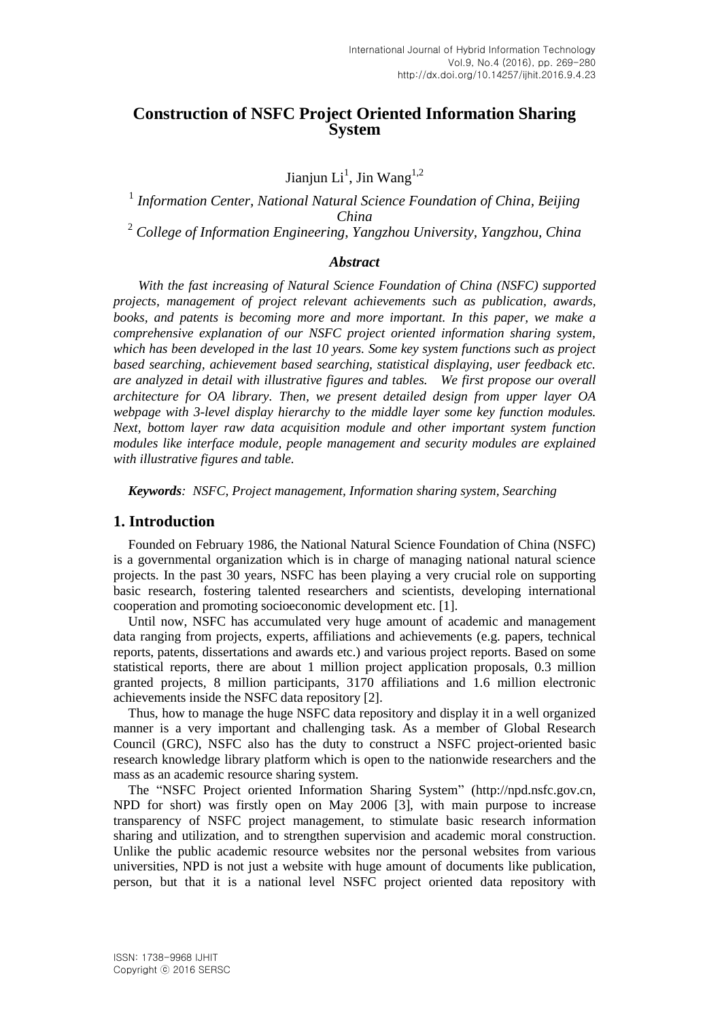## **Construction of NSFC Project Oriented Information Sharing System**

Jianjun Li<sup>1</sup>, Jin Wang<sup>1,2</sup>

<sup>1</sup> Information Center, National Natural Science Foundation of China, Beijing *China*  <sup>2</sup> *College of Information Engineering, Yangzhou University, Yangzhou, China*

#### *Abstract*

 *With the fast increasing of Natural Science Foundation of China (NSFC) supported projects, management of project relevant achievements such as publication, awards, books, and patents is becoming more and more important. In this paper, we make a comprehensive explanation of our NSFC project oriented information sharing system, which has been developed in the last 10 years. Some key system functions such as project based searching, achievement based searching, statistical displaying, user feedback etc. are analyzed in detail with illustrative figures and tables. We first propose our overall architecture for OA library. Then, we present detailed design from upper layer OA webpage with 3-level display hierarchy to the middle layer some key function modules. Next, bottom layer raw data acquisition module and other important system function modules like interface module, people management and security modules are explained with illustrative figures and table.*

*Keywords: NSFC, Project management, Information sharing system, Searching*

### **1. Introduction**

Founded on February 1986, the National Natural Science Foundation of China (NSFC) is a governmental organization which is in charge of managing national natural science projects. In the past 30 years, NSFC has been playing a very crucial role on supporting basic research, fostering talented researchers and scientists, developing international cooperation and promoting socioeconomic development etc. [1].

Until now, NSFC has accumulated very huge amount of academic and management data ranging from projects, experts, affiliations and achievements (e.g. papers, technical reports, patents, dissertations and awards etc.) and various project reports. Based on some statistical reports, there are about 1 million project application proposals, 0.3 million granted projects, 8 million participants, 3170 affiliations and 1.6 million electronic achievements inside the NSFC data repository [2].

Thus, how to manage the huge NSFC data repository and display it in a well organized manner is a very important and challenging task. As a member of Global Research Council (GRC), NSFC also has the duty to construct a NSFC project-oriented basic research knowledge library platform which is open to the nationwide researchers and the mass as an academic resource sharing system.

The "NSFC Project oriented Information Sharing System" (http://npd.nsfc.gov.cn, NPD for short) was firstly open on May 2006 [3], with main purpose to increase transparency of NSFC project management, to stimulate basic research information sharing and utilization, and to strengthen supervision and academic moral construction. Unlike the public academic resource websites nor the personal websites from various universities, NPD is not just a website with huge amount of documents like publication, person, but that it is a national level NSFC project oriented data repository with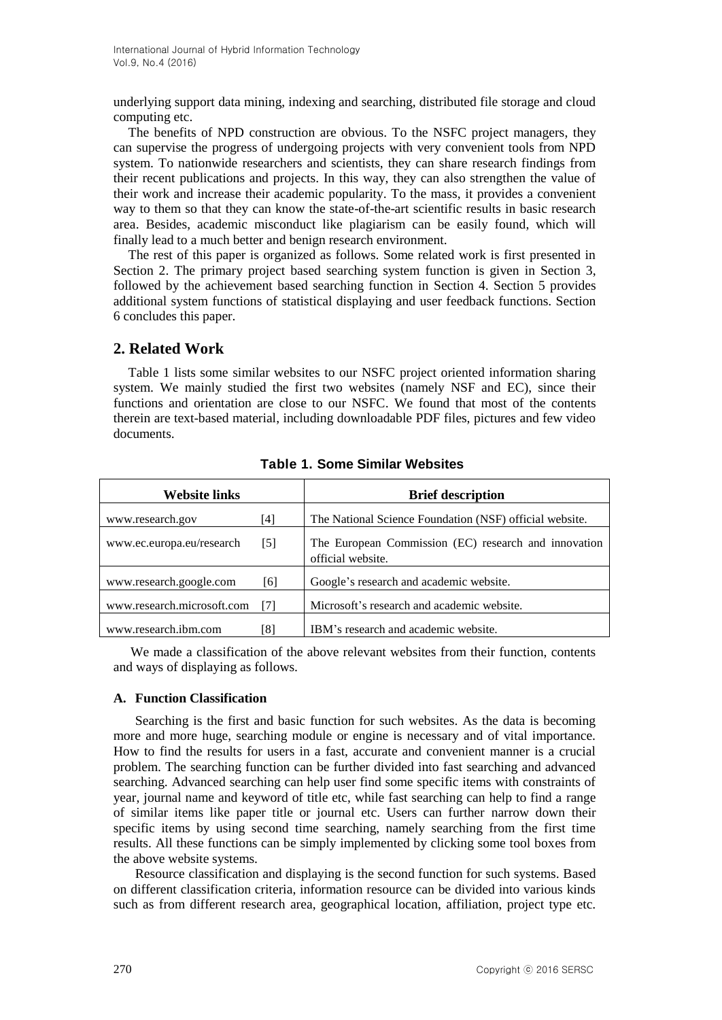underlying support data mining, indexing and searching, distributed file storage and cloud computing etc.

The benefits of NPD construction are obvious. To the NSFC project managers, they can supervise the progress of undergoing projects with very convenient tools from NPD system. To nationwide researchers and scientists, they can share research findings from their recent publications and projects. In this way, they can also strengthen the value of their work and increase their academic popularity. To the mass, it provides a convenient way to them so that they can know the state-of-the-art scientific results in basic research area. Besides, academic misconduct like plagiarism can be easily found, which will finally lead to a much better and benign research environment.

The rest of this paper is organized as follows. Some related work is first presented in Section 2. The primary project based searching system function is given in Section 3, followed by the achievement based searching function in Section 4. Section 5 provides additional system functions of statistical displaying and user feedback functions. Section 6 concludes this paper.

## **2. Related Work**

Table 1 lists some similar websites to our NSFC project oriented information sharing system. We mainly studied the first two websites (namely NSF and EC), since their functions and orientation are close to our NSFC. We found that most of the contents therein are text-based material, including downloadable PDF files, pictures and few video documents.

| <b>Website links</b>       |     | <b>Brief description</b>                                                  |
|----------------------------|-----|---------------------------------------------------------------------------|
| www.research.gov           | [4] | The National Science Foundation (NSF) official website.                   |
| www.ec.europa.eu/research  | [5] | The European Commission (EC) research and innovation<br>official website. |
| www.research.google.com    | [6] | Google's research and academic website.                                   |
| www.research.microsoft.com | [7] | Microsoft's research and academic website.                                |
| www.research.jbm.com       | [8] | IBM's research and academic website.                                      |

**Table 1. Some Similar Websites**

We made a classification of the above relevant websites from their function, contents and ways of displaying as follows.

#### **A. Function Classification**

Searching is the first and basic function for such websites. As the data is becoming more and more huge, searching module or engine is necessary and of vital importance. How to find the results for users in a fast, accurate and convenient manner is a crucial problem. The searching function can be further divided into fast searching and advanced searching. Advanced searching can help user find some specific items with constraints of year, journal name and keyword of title etc, while fast searching can help to find a range of similar items like paper title or journal etc. Users can further narrow down their specific items by using second time searching, namely searching from the first time results. All these functions can be simply implemented by clicking some tool boxes from the above website systems.

Resource classification and displaying is the second function for such systems. Based on different classification criteria, information resource can be divided into various kinds such as from different research area, geographical location, affiliation, project type etc.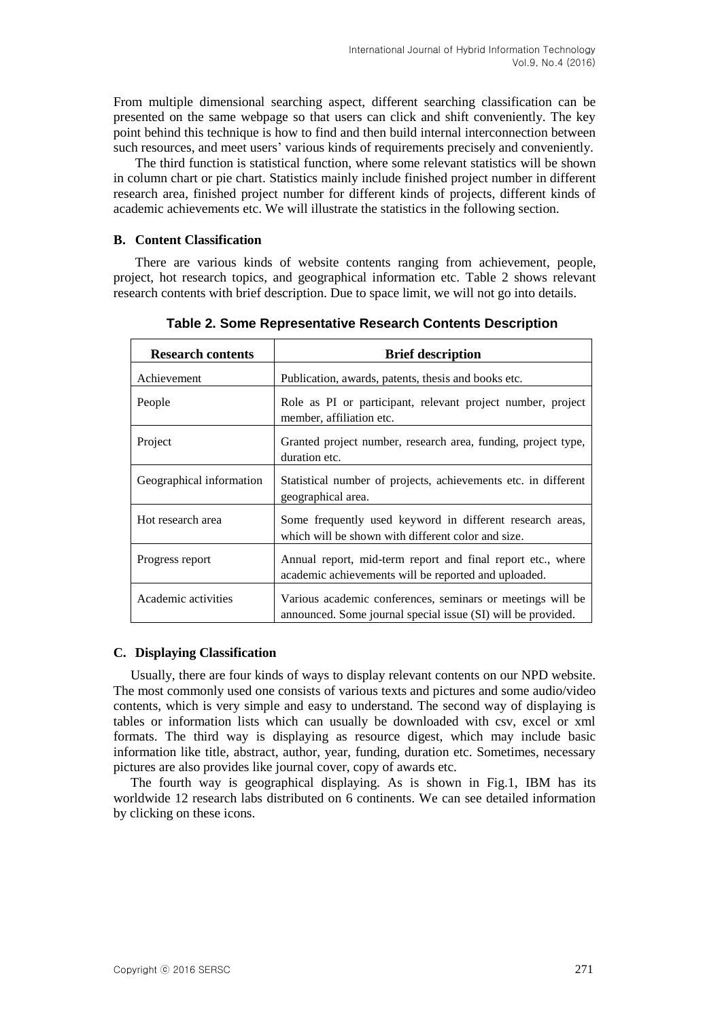From multiple dimensional searching aspect, different searching classification can be presented on the same webpage so that users can click and shift conveniently. The key point behind this technique is how to find and then build internal interconnection between such resources, and meet users' various kinds of requirements precisely and conveniently.

The third function is statistical function, where some relevant statistics will be shown in column chart or pie chart. Statistics mainly include finished project number in different research area, finished project number for different kinds of projects, different kinds of academic achievements etc. We will illustrate the statistics in the following section.

#### **B. Content Classification**

There are various kinds of website contents ranging from achievement, people, project, hot research topics, and geographical information etc. Table 2 shows relevant research contents with brief description. Due to space limit, we will not go into details.

| <b>Research contents</b> | <b>Brief description</b>                                                                                                   |
|--------------------------|----------------------------------------------------------------------------------------------------------------------------|
| Achievement              | Publication, awards, patents, thesis and books etc.                                                                        |
| People                   | Role as PI or participant, relevant project number, project<br>member, affiliation etc.                                    |
| Project                  | Granted project number, research area, funding, project type,<br>duration etc.                                             |
| Geographical information | Statistical number of projects, achievements etc. in different<br>geographical area.                                       |
| Hot research area        | Some frequently used keyword in different research areas,<br>which will be shown with different color and size.            |
| Progress report          | Annual report, mid-term report and final report etc., where<br>academic achievements will be reported and uploaded.        |
| Academic activities      | Various academic conferences, seminars or meetings will be<br>announced. Some journal special issue (SI) will be provided. |

**Table 2. Some Representative Research Contents Description**

#### **C. Displaying Classification**

Usually, there are four kinds of ways to display relevant contents on our NPD website. The most commonly used one consists of various texts and pictures and some audio/video contents, which is very simple and easy to understand. The second way of displaying is tables or information lists which can usually be downloaded with csv, excel or xml formats. The third way is displaying as resource digest, which may include basic information like title, abstract, author, year, funding, duration etc. Sometimes, necessary pictures are also provides like journal cover, copy of awards etc.

The fourth way is geographical displaying. As is shown in Fig.1, IBM has its worldwide 12 research labs distributed on 6 continents. We can see detailed information by clicking on these icons.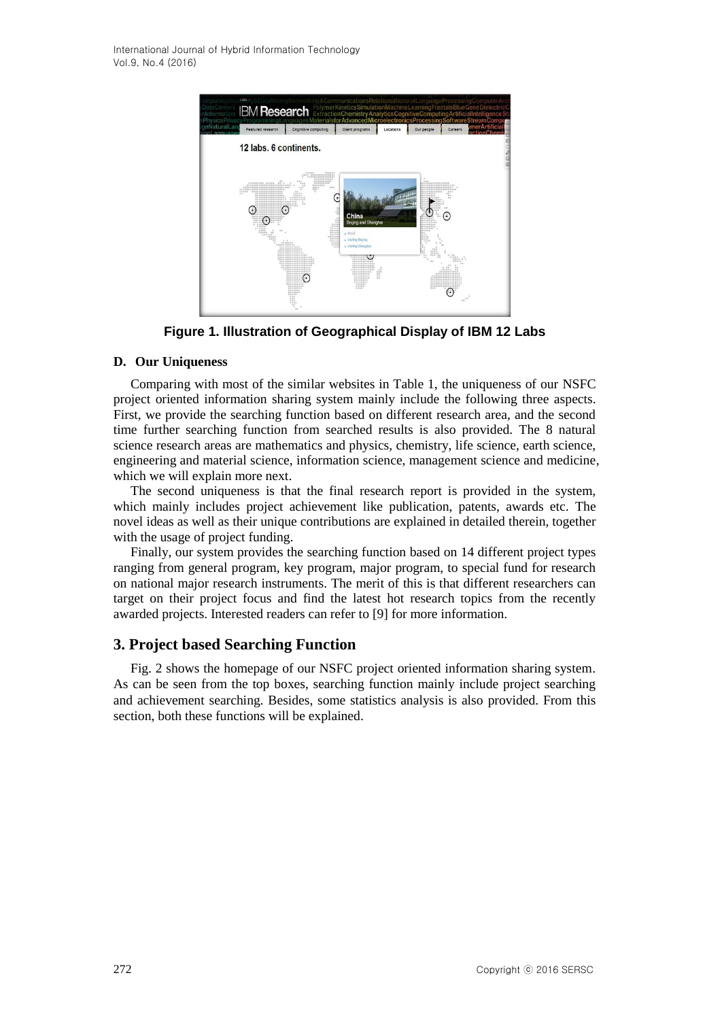

**Figure 1. Illustration of Geographical Display of IBM 12 Labs**

#### **D. Our Uniqueness**

Comparing with most of the similar websites in Table 1, the uniqueness of our NSFC project oriented information sharing system mainly include the following three aspects. First, we provide the searching function based on different research area, and the second time further searching function from searched results is also provided. The 8 natural science research areas are mathematics and physics, chemistry, life science, earth science, engineering and material science, information science, management science and medicine, which we will explain more next.

The second uniqueness is that the final research report is provided in the system, which mainly includes project achievement like publication, patents, awards etc. The novel ideas as well as their unique contributions are explained in detailed therein, together with the usage of project funding.

Finally, our system provides the searching function based on 14 different project types ranging from general program, key program, major program, to special fund for research on national major research instruments. The merit of this is that different researchers can target on their project focus and find the latest hot research topics from the recently awarded projects. Interested readers can refer to [9] for more information.

### **3. Project based Searching Function**

Fig. 2 shows the homepage of our NSFC project oriented information sharing system. As can be seen from the top boxes, searching function mainly include project searching and achievement searching. Besides, some statistics analysis is also provided. From this section, both these functions will be explained.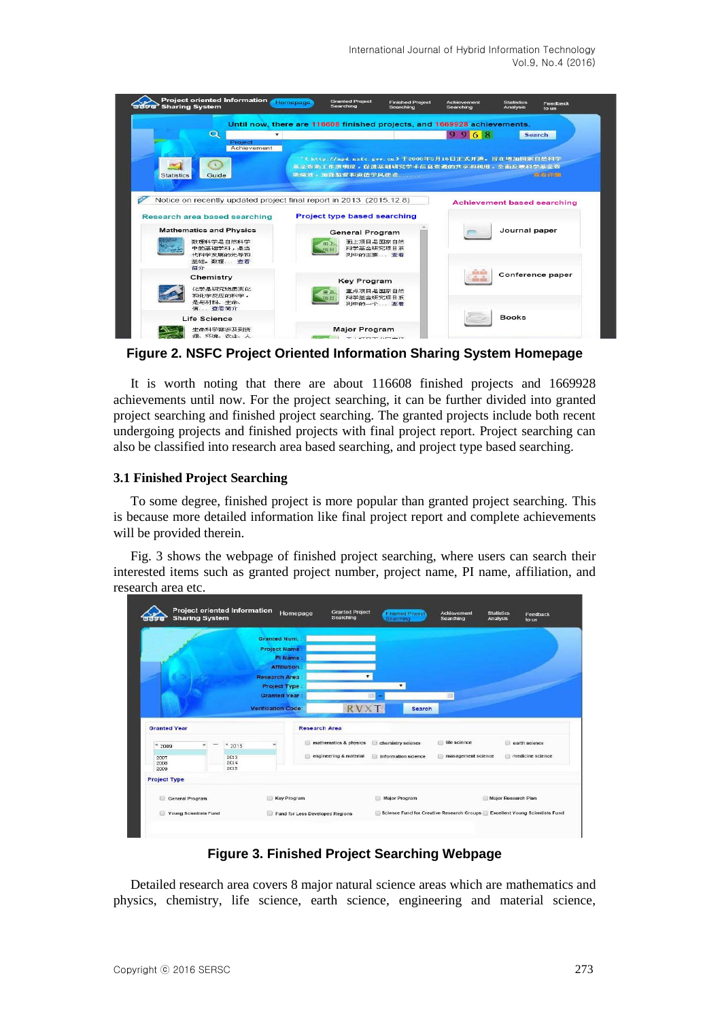

**Figure 2. NSFC Project Oriented Information Sharing System Homepage**

It is worth noting that there are about 116608 finished projects and 1669928 achievements until now. For the project searching, it can be further divided into granted project searching and finished project searching. The granted projects include both recent undergoing projects and finished projects with final project report. Project searching can also be classified into research area based searching, and project type based searching.

#### **3.1 Finished Project Searching**

To some degree, finished project is more popular than granted project searching. This is because more detailed information like final project report and complete achievements will be provided therein.

Fig. 3 shows the webpage of finished project searching, where users can search their interested items such as granted project number, project name, PI name, affiliation, and research area etc.

|                       | <b>Sharing System</b> | Project oriented Information    |                                                                           | <b>Granted Project</b><br>Homepage<br>Searching | <b>Finished Project</b><br>Searching | Achievement<br>Searching | <b>Statistics</b><br>Feedback<br><b>Analysis</b><br>to us |
|-----------------------|-----------------------|---------------------------------|---------------------------------------------------------------------------|-------------------------------------------------|--------------------------------------|--------------------------|-----------------------------------------------------------|
|                       |                       |                                 | <b>Granted Num.:</b>                                                      |                                                 |                                      |                          |                                                           |
|                       |                       |                                 | <b>Project Name</b>                                                       |                                                 |                                      |                          |                                                           |
|                       |                       |                                 | PI Name                                                                   |                                                 |                                      |                          |                                                           |
|                       |                       |                                 | <b>Affiliation</b>                                                        |                                                 |                                      |                          |                                                           |
|                       |                       |                                 | <b>Research Area</b>                                                      |                                                 |                                      |                          |                                                           |
|                       |                       |                                 | Project Type:                                                             |                                                 |                                      |                          |                                                           |
|                       |                       |                                 | <b>Granted Year</b>                                                       |                                                 |                                      | m                        |                                                           |
|                       |                       |                                 | <b>Verification Code:</b>                                                 | <b>RVX</b>                                      | <b>Search</b>                        |                          |                                                           |
|                       |                       |                                 |                                                                           |                                                 |                                      |                          |                                                           |
| <b>Granted Year</b>   |                       |                                 |                                                                           | <b>Research Area</b>                            |                                      |                          |                                                           |
| $*2009$               |                       | 42015                           |                                                                           | mathematics & physics<br>521                    | chemistry science                    | life science             | earth science                                             |
| 2007<br>2008<br>2009  |                       | 2013<br>2014<br>2015            |                                                                           | engineering & material                          | information science                  | management science<br>自  | medicine science                                          |
| <b>Project Type</b>   |                       |                                 |                                                                           |                                                 |                                      |                          |                                                           |
| General Program       |                       |                                 | Key Program                                                               |                                                 | Major Program                        |                          | Major Research Plan                                       |
| Young Scientists Fund |                       | Fund for Less Developed Regions | Science Fund for Creative Research Groups Excellent Young Scientists Fund |                                                 |                                      |                          |                                                           |
|                       |                       |                                 |                                                                           |                                                 |                                      |                          |                                                           |

**Figure 3. Finished Project Searching Webpage** 

Detailed research area covers 8 major natural science areas which are mathematics and physics, chemistry, life science, earth science, engineering and material science,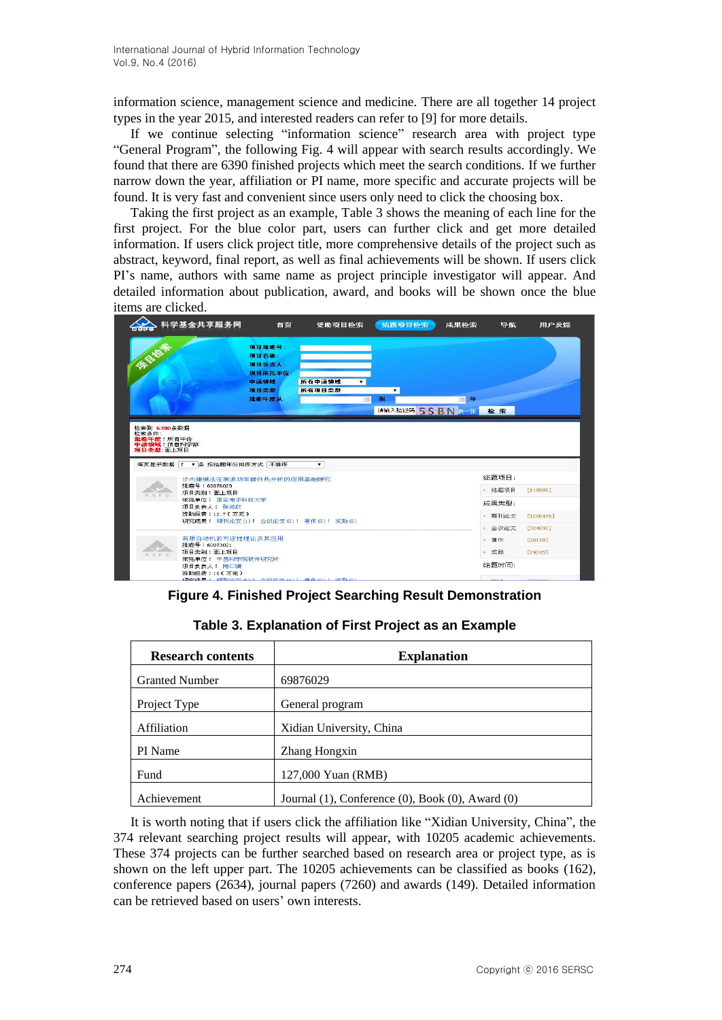information science, management science and medicine. There are all together 14 project types in the year 2015, and interested readers can refer to [9] for more details.

If we continue selecting "information science" research area with project type "General Program", the following Fig. 4 will appear with search results accordingly. We found that there are 6390 finished projects which meet the search conditions. If we further narrow down the year, affiliation or PI name, more specific and accurate projects will be found. It is very fast and convenient since users only need to click the choosing box.

Taking the first project as an example, Table 3 shows the meaning of each line for the first project. For the blue color part, users can further click and get more detailed information. If users click project title, more comprehensive details of the project such as abstract, keyword, final report, as well as final achievements will be shown. If users click PI's name, authors with same name as project principle investigator will appear. And detailed information about publication, award, and books will be shown once the blue items are clicked.



**Figure 4. Finished Project Searching Result Demonstration**

| <b>Research contents</b> | <b>Explanation</b>                               |  |  |  |
|--------------------------|--------------------------------------------------|--|--|--|
| <b>Granted Number</b>    | 69876029                                         |  |  |  |
| Project Type             | General program                                  |  |  |  |
| Affiliation              | Xidian University, China                         |  |  |  |
| PI Name                  | Zhang Hongxin                                    |  |  |  |
| Fund                     | 127,000 Yuan (RMB)                               |  |  |  |
| Achievement              | Journal (1), Conference (0), Book (0), Award (0) |  |  |  |

#### **Table 3. Explanation of First Project as an Example**

It is worth noting that if users click the affiliation like "Xidian University, China", the 374 relevant searching project results will appear, with 10205 academic achievements. These 374 projects can be further searched based on research area or project type, as is shown on the left upper part. The 10205 achievements can be classified as books (162), conference papers (2634), journal papers (7260) and awards (149). Detailed information can be retrieved based on users' own interests.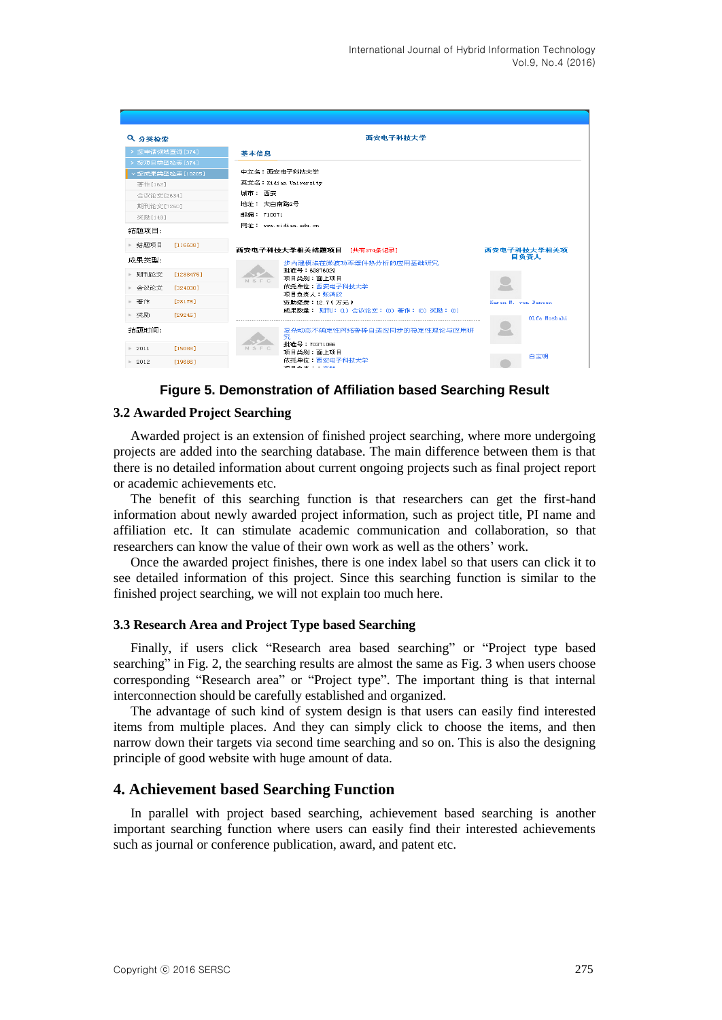| Q 分类检索            |           |            | 西安电子科技大学                                |                     |
|-------------------|-----------|------------|-----------------------------------------|---------------------|
| > 按申请领域查询[374]    |           | 基本信息       |                                         |                     |
| >按项目类型检索[374]     |           |            |                                         |                     |
| ▽ 按成果类型检索 [10205] |           |            | 中文名:西安电子科技大学                            |                     |
| 著作[162]           |           |            | 英文名:Xidian University                   |                     |
| 会议论文[2634]        |           | 域市: 西安     |                                         |                     |
| 期刊论文[7260]        |           | 地址: 太白南路2号 |                                         |                     |
| 奖励[149]           |           | 邮编: 710071 |                                         |                     |
| 结题项目:             |           |            | 网th: www.xidian.edu.cn.                 |                     |
| ▶ 结题项目            | [116608]  |            | 西安电子科技大学相关结题项目 【共有374条记录】               | 西安电子科技大学相关项         |
| 成果类型:             |           |            | 步内建模法在微波功率器件热分析的应用基础研究                  | 目负责人                |
| ▶ 期刊论文            | [1288475] |            | 批准号: 69876029                           |                     |
|                   |           | NSFC       | 项目类别:面上项目                               |                     |
| ▶ 会议论文            | [324030]  |            | 依托单位:西安电子科技大学<br>项目负责人:张鸿欣              |                     |
| ▶ 著作              | [28178]   |            | 资助经费: 12.7(万元)                          | Karen M. von Deneen |
| ▶ 奖励              | [29245]   |            | 成果数量: 期刊: (1) 会议论文: (0) 著作: (0) 奖励: (0) | Olfa Moshabi        |
|                   |           |            |                                         |                     |
| 结题时间:             |           |            | 复杂动态不确定性网络鲁榛自适应同步的稳定性理论与应用研<br>究.       |                     |
| 2011              | [15088]   | NSFC       | 批准号: 70371066                           |                     |
|                   |           |            | 项目类别:面上项目<br>依托单位:西安电子科技大学              | 白宝明                 |
| $\geq 2012$       | [19686]   |            | 16日本主工・木40                              |                     |

**Figure 5. Demonstration of Affiliation based Searching Result**

#### **3.2 Awarded Project Searching**

Awarded project is an extension of finished project searching, where more undergoing projects are added into the searching database. The main difference between them is that there is no detailed information about current ongoing projects such as final project report or academic achievements etc.

The benefit of this searching function is that researchers can get the first-hand information about newly awarded project information, such as project title, PI name and affiliation etc. It can stimulate academic communication and collaboration, so that researchers can know the value of their own work as well as the others' work.

Once the awarded project finishes, there is one index label so that users can click it to see detailed information of this project. Since this searching function is similar to the finished project searching, we will not explain too much here.

#### **3.3 Research Area and Project Type based Searching**

Finally, if users click "Research area based searching" or "Project type based searching" in Fig. 2, the searching results are almost the same as Fig. 3 when users choose corresponding "Research area" or "Project type". The important thing is that internal interconnection should be carefully established and organized.

The advantage of such kind of system design is that users can easily find interested items from multiple places. And they can simply click to choose the items, and then narrow down their targets via second time searching and so on. This is also the designing principle of good website with huge amount of data.

### **4. Achievement based Searching Function**

In parallel with project based searching, achievement based searching is another important searching function where users can easily find their interested achievements such as journal or conference publication, award, and patent etc.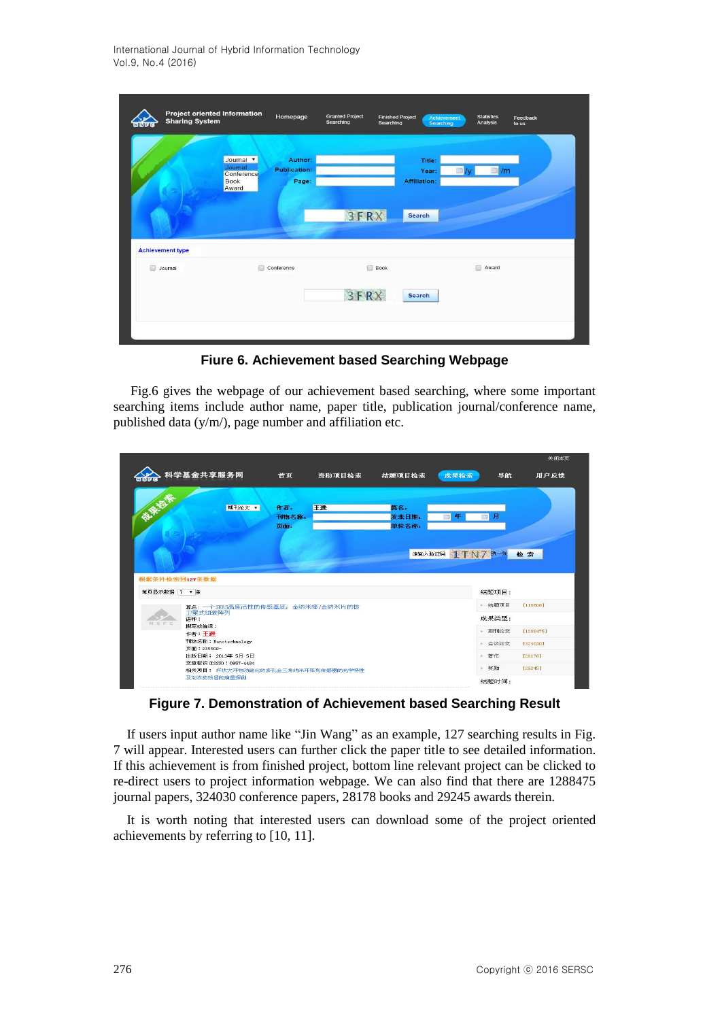|   | Project oriented Information<br><b>Sharing System</b> |                                                            | Homepage                                | <b>Granted Project</b><br>Searching | <b>Finished Project</b><br>Searching | Achievement<br><b>Searching</b>                  |        | <b>Statistics</b><br>Analysis | Feedback<br>to us |
|---|-------------------------------------------------------|------------------------------------------------------------|-----------------------------------------|-------------------------------------|--------------------------------------|--------------------------------------------------|--------|-------------------------------|-------------------|
|   |                                                       | Journal <b>v</b><br>Journal<br>Conference<br>Book<br>Award | Author:<br><b>Publication:</b><br>Page: | 3FRX                                |                                      | Title:<br>Year:<br><b>Affiliation:</b><br>Search |        | /m                            |                   |
| 田 | <b>Achievement type</b><br>Journal                    |                                                            | Conference                              | 3FRX                                | Book                                 | Search                                           | $\Box$ | Award                         |                   |
|   |                                                       |                                                            |                                         |                                     |                                      |                                                  |        |                               |                   |

**Fiure 6. Achievement based Searching Webpage**

Fig.6 gives the webpage of our achievement based searching, where some important searching items include author name, paper title, publication journal/conference name, published data (y/m/), page number and affiliation etc.



**Figure 7. Demonstration of Achievement based Searching Result**

If users input author name like "Jin Wang" as an example, 127 searching results in Fig. 7 will appear. Interested users can further click the paper title to see detailed information. If this achievement is from finished project, bottom line relevant project can be clicked to re-direct users to project information webpage. We can also find that there are 1288475 journal papers, 324030 conference papers, 28178 books and 29245 awards therein.

It is worth noting that interested users can download some of the project oriented achievements by referring to [10, 11].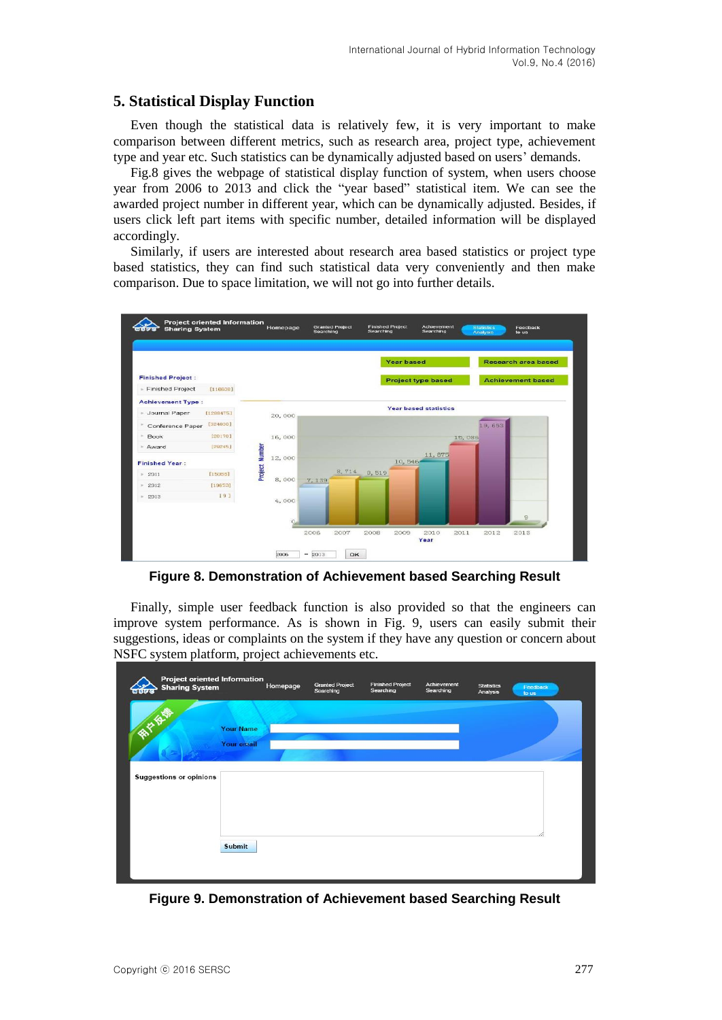## **5. Statistical Display Function**

Even though the statistical data is relatively few, it is very important to make comparison between different metrics, such as research area, project type, achievement type and year etc. Such statistics can be dynamically adjusted based on users' demands.

Fig.8 gives the webpage of statistical display function of system, when users choose year from 2006 to 2013 and click the "year based" statistical item. We can see the awarded project number in different year, which can be dynamically adjusted. Besides, if users click left part items with specific number, detailed information will be displayed accordingly.

Similarly, if users are interested about research area based statistics or project type based statistics, they can find such statistical data very conveniently and then make comparison. Due to space limitation, we will not go into further details.



**Figure 8. Demonstration of Achievement based Searching Result**

Finally, simple user feedback function is also provided so that the engineers can improve system performance. As is shown in Fig. 9, users can easily submit their suggestions, ideas or complaints on the system if they have any question or concern about NSFC system platform, project achievements etc.

| <b>Sharing System</b><br><b>agas</b> | <b>Project oriented Information</b> | Homepage | <b>Granted Project</b><br>Searching | <b>Finished Project</b><br>Searching | Achievement<br>Searching | <b>Statistics</b><br>Analysis | Feedback<br>to us |
|--------------------------------------|-------------------------------------|----------|-------------------------------------|--------------------------------------|--------------------------|-------------------------------|-------------------|
| <b>DEE</b>                           | <b>Your Name</b>                    |          |                                     |                                      |                          |                               |                   |
| <b>Suggestions or opinions</b>       | Your email                          |          |                                     |                                      |                          |                               |                   |
|                                      |                                     |          |                                     |                                      |                          |                               |                   |
|                                      | <b>Submit</b>                       |          |                                     |                                      |                          |                               |                   |
|                                      |                                     |          |                                     |                                      |                          |                               |                   |

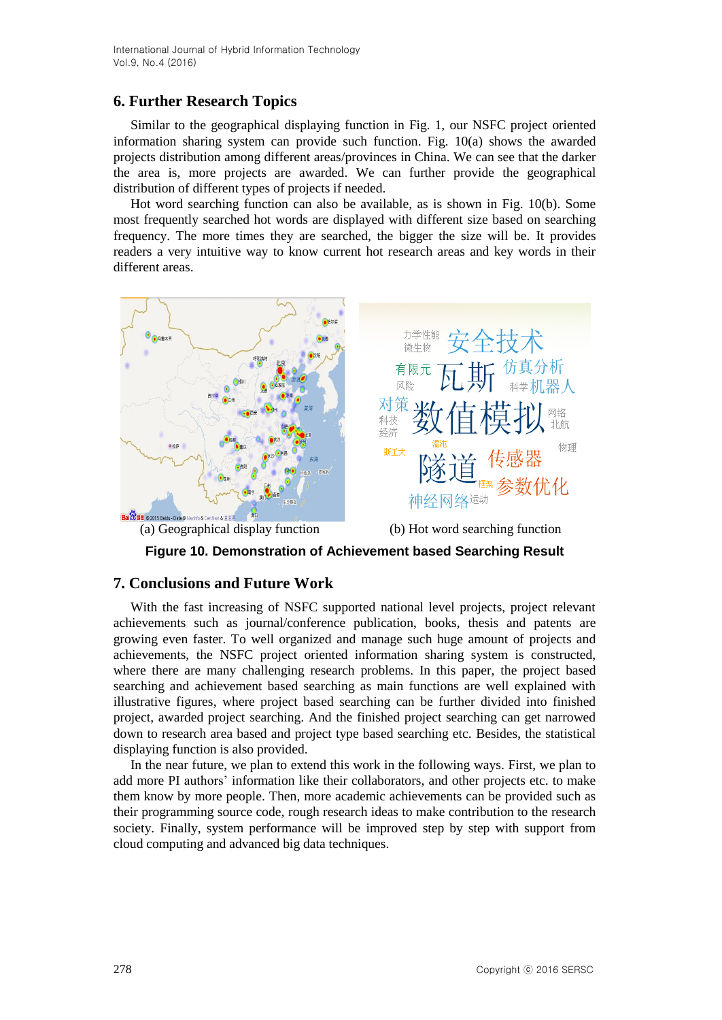# **6. Further Research Topics**

Similar to the geographical displaying function in Fig. 1, our NSFC project oriented information sharing system can provide such function. Fig. 10(a) shows the awarded projects distribution among different areas/provinces in China. We can see that the darker the area is, more projects are awarded. We can further provide the geographical distribution of different types of projects if needed.

Hot word searching function can also be available, as is shown in Fig. 10(b). Some most frequently searched hot words are displayed with different size based on searching frequency. The more times they are searched, the bigger the size will be. It provides readers a very intuitive way to know current hot research areas and key words in their different areas.



**Figure 10. Demonstration of Achievement based Searching Result**

## **7. Conclusions and Future Work**

With the fast increasing of NSFC supported national level projects, project relevant achievements such as journal/conference publication, books, thesis and patents are growing even faster. To well organized and manage such huge amount of projects and achievements, the NSFC project oriented information sharing system is constructed, where there are many challenging research problems. In this paper, the project based searching and achievement based searching as main functions are well explained with illustrative figures, where project based searching can be further divided into finished project, awarded project searching. And the finished project searching can get narrowed down to research area based and project type based searching etc. Besides, the statistical displaying function is also provided.

In the near future, we plan to extend this work in the following ways. First, we plan to add more PI authors' information like their collaborators, and other projects etc. to make them know by more people. Then, more academic achievements can be provided such as their programming source code, rough research ideas to make contribution to the research society. Finally, system performance will be improved step by step with support from cloud computing and advanced big data techniques.